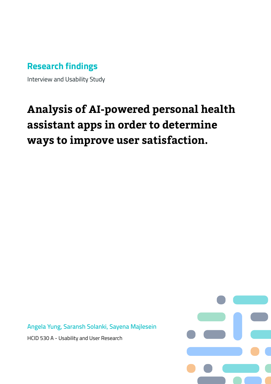# **Research findings**

Interview and Usability Study

# **Analysis of AI-powered personal health assistant apps in order to determine ways to improve user satisfaction.**

**Angela Yung, Saransh Solanki, Sayena Majlesein**

HCID 530 A - Usability and User Research

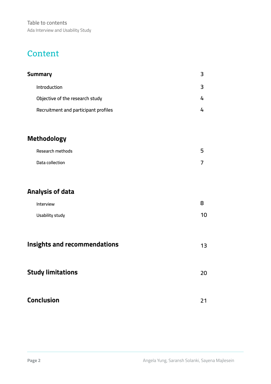## **Content**

| <b>Summary</b>                       |  |
|--------------------------------------|--|
| Introduction                         |  |
| Objective of the research study      |  |
| Recruitment and participant profiles |  |

## **Methodology**

| Research methods | 5. |
|------------------|----|
| Data collection  |    |

## **Analysis of data**

| Interview       | 8  |
|-----------------|----|
| Usability study | 10 |

| <b>Insights and recommendations</b> |  |
|-------------------------------------|--|
|-------------------------------------|--|

# **Conclusion**

**20**

**21**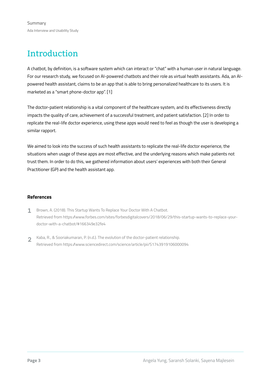# Introduction

A chatbot, by definition, is a software system which can interact or "chat" with a human user in natural language. For our research study, we focused on AI-powered chatbots and their role as virtual health assistants. Ada, an AIpowered health assistant, claims to be an app that is able to bring personalized healthcare to its users. It is marketed as a "smart phone-doctor app". [1]

The doctor-patient relationship is a vital component of the healthcare system, and its effectiveness directly impacts the quality of care, achievement of a successful treatment, and patient satisfaction. [2] In order to replicate the real-life doctor experience, using these apps would need to feel as though the user is developing a similar rapport.

We aimed to look into the success of such health assistants to replicate the real-life doctor experience, the situations when usage of these apps are most effective, and the underlying reasons which make patients not trust them. In order to do this, we gathered information about users' experiences with both their General Practitioner (GP) and the health assistant app.

### **References**

- Brown, A. (2018). This Startup Wants To Replace Your Doctor With A Chatbot. Retrieved from https://www.forbes.com/sites/forbesdigitalcovers/2018/06/29/this-startup-wants-to-replace-yourdoctor-with-a-chatbot/#166349e32fe4 1
- Kaba, R., & Sooriakumaran, P. (n.d.). The evolution of the doctor-patient relationship. Retrieved from https://www.sciencedirect.com/science/article/pii/S1743919106000094  $\overline{2}$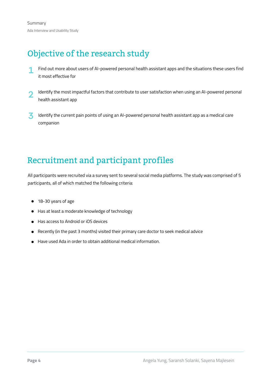# Objective of the research study

- Find out more about users of AI-powered personal health assistant apps and the situations these users find it most effective for 1
- Identify the most impactful factors that contribute to user satisfaction when using an AI-powered personal health assistant app 2
- Identify the current pain points of using an AI-powered personal health assistant app as a medical care companion 3

# Recruitment and participant profiles

All participants were recruited via a survey sent to several social media platforms. The study was comprised of 5 participants, all of which matched the following criteria:

- 18-30 years of age
- Has at least a moderate knowledge of technology
- Has access to Android or iOS devices
- Recently (in the past 3 months) visited their primary care doctor to seek medical advice
- Have used Ada in order to obtain additional medical information.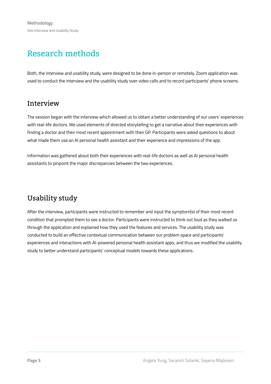# Research methods

Both, the interview and usability study, were designed to be done in-person or remotely. Zoom application was used to conduct the interview and the usability study over video calls and to record participants' phone screens.

### **Interview**

The session began with the interview which allowed us to obtain a better understanding of our users' experiences with real-life doctors. We used elements of directed storytelling to get a narrative about their experiences with finding a doctor and their most recent appointment with their GP. Participants were asked questions to about what made them use an AI personal health assistant and their experience and impressions of the app.

Information was gathered about both their experiences with real-life doctors as well as AI personal health assistants to pinpoint the major discrepancies between the two experiences.

## Usability study

After the interview, participants were instructed to remember and input the symptom(s) of their most recent condition that prompted them to see a doctor. Participants were instructed to think out loud as they walked us through the application and explained how they used the features and services. The usability study was conducted to build an effective contextual communication between our problem space and participants' experiences and interactions with AI-powered personal health assistant apps, and thus we modified the usability study to better understand participants' conceptual models towards these applications.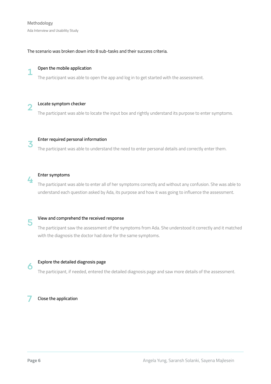1

4

6

### The scenario was broken down into 8 sub-tasks and their success criteria.

### **Open the mobile application**

The participant was able to open the app and log in to get started with the assessment.

**Locate symptom checker** The participant was able to locate the input box and rightly understand its purpose to enter symptoms. 2

**Enter required personal information**

The participant was able to understand the need to enter personal details and correctly enter them.

#### **Enter symptoms**

The participant was able to enter all of her symptoms correctly and without any confusion. She was able to understand each question asked by Ada, its purpose and how it was going to influence the assessment.

#### **View and comprehend the received response** 5

The participant saw the assessment of the symptoms from Ada. She understood it correctly and it matched with the diagnosis the doctor had done for the same symptoms.

#### **Explore the detailed diagnosis page**

The participant, if needed, entered the detailed diagnosis page and saw more details of the assessment.

7 **Close the application**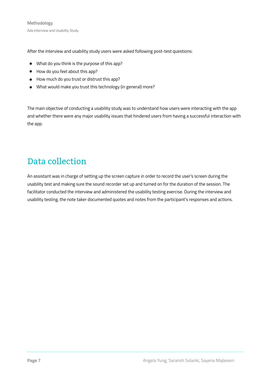After the interview and usability study users were asked following post-test questions:

- What do you think is the purpose of this app?
- How do you feel about this app?
- How much do you trust or distrust this app?
- What would make you trust this technology (in general) more?

The main objective of conducting a usability study was to understand how users were interacting with the app and whether there were any major usability issues that hindered users from having a successful interaction with the app.

## Data collection

An assistant was in charge of setting up the screen capture in order to record the user's screen during the usability test and making sure the sound recorder set up and turned on for the duration of the session. The facilitator conducted the interview and administered the usability testing exercise. During the interview and usability testing, the note taker documented quotes and notes from the participant's responses and actions.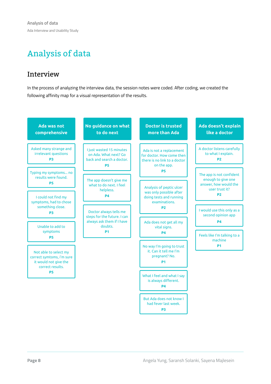# Analysis of data

## **Interview**

In the process of analyzing the interview data, the session notes were coded. After coding, we created the following affinity map for a visual representation of the results.

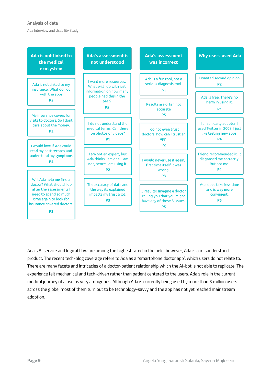### **Analysis of data**

Ada Interview and Usability Study



Ada's AI service and logical flow are among the highest rated in the field, however, Ada is a misunderstood product. The recent tech-blog coverage refers to Ada as a "smartphone doctor app", which users do not relate to. There are many facets and intricacies of a doctor-patient relationship which the AI-bot is not able to replicate. The experience felt mechanical and tech-driven rather than patient centered to the users. Ada's role in the current medical journey of a user is very ambiguous. Although Ada is currently being used by more than 3 million users across the globe, most of them turn out to be technology-savvy and the app has not yet reached mainstream adoption.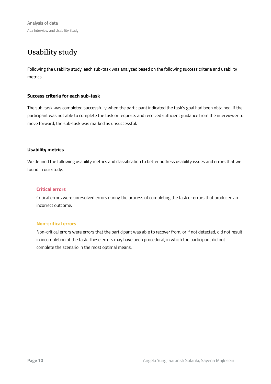**Analysis of data** Ada Interview and Usability Study

## Usability study

Following the usability study, each sub-task was analyzed based on the following success criteria and usability metrics.

### **Success criteria for each sub-task**

The sub-task was completed successfully when the participant indicated the task's goal had been obtained. If the participant was not able to complete the task or requests and received sufficient guidance from the interviewer to move forward, the sub-task was marked as unsuccessful.

### **Usability metrics**

We defined the following usability metrics and classification to better address usability issues and errors that we found in our study.

### **Critical errors**

Critical errors were unresolved errors during the process of completing the task or errors that produced an incorrect outcome.

### **Non-critical errors**

Non-critical errors were errors that the participant was able to recover from, or if not detected, did not result in incompletion of the task. These errors may have been procedural, in which the participant did not complete the scenario in the most optimal means.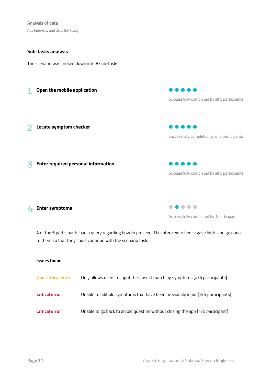**Analysis of data** Ada Interview and Usability Study

### **Sub-tasks analysis**

The scenario was broken down into 8 sub-tasks.



## **Enter symptoms** 4

Successfully completed by 1 participant

4 of the 5 participants had a query regarding how to proceed. The interviewer hence gave hints and guidance to them so that they could continue with the scenario task.

### **Issues found**

| <b>Non-critical error</b> | Only allows users to input the closest matching symptoms [4/5 participants]    |
|---------------------------|--------------------------------------------------------------------------------|
| <b>Critical error</b>     | Unable to edit old symptoms that have been previously input [3/5 participants] |
| <b>Critical error</b>     | Unable to go back to an old question without closing the app [1/5 participant] |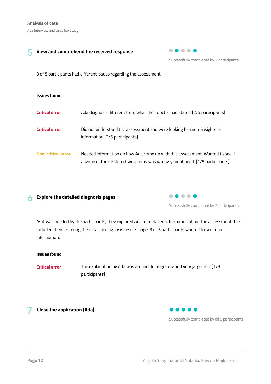#### **View and comprehend the received response** 5



Successfully completed by 2 participants

3 of 5 participants had different issues regarding the assessment.

| <b>Issues found</b>       |                                                                                                                                                            |
|---------------------------|------------------------------------------------------------------------------------------------------------------------------------------------------------|
| <b>Critical error</b>     | Ada diagnosis different from what their doctor had stated [2/5 participants]                                                                               |
| <b>Critical error</b>     | Did not understand the assessment and were looking for more insights or<br>information [2/5 participants]                                                  |
| <b>Non-critical error</b> | Needed information on how Ada come up with this assessment. Wanted to see if<br>anyone of their entered symptoms was wrongly mentioned. [1/5 participants] |

#### **Explore the detailed diagnosis pages** 6



Successfully completed by 2 participants

As it was needed by the participants, they explored Ada for detailed information about the assessment. This included them entering the detailed diagnosis results page. 3 of 5 participants wanted to see more information.

### **Issues found**

**Critical error**

The explanation by Ada was around demography and very jargonish. [1/3 participants]

7 **Close the application (Ada)**



Successfully completed by all 5 participants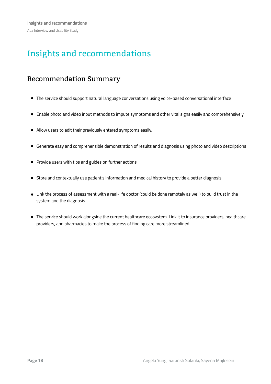# Insights and recommendations

## Recommendation Summary

- The service should support natural language conversations using voice-based conversational interface
- Enable photo and video input methods to impute symptoms and other vital signs easily and comprehensively
- Allow users to edit their previously entered symptoms easily.
- Generate easy and comprehensible demonstration of results and diagnosis using photo and video descriptions
- Provide users with tips and guides on further actions
- Store and contextually use patient's information and medical history to provide a better diagnosis
- Link the process of assessment with a real-life doctor (could be done remotely as well) to build trust in the system and the diagnosis
- The service should work alongside the current healthcare ecosystem. Link it to insurance providers, healthcare providers, and pharmacies to make the process of finding care more streamlined.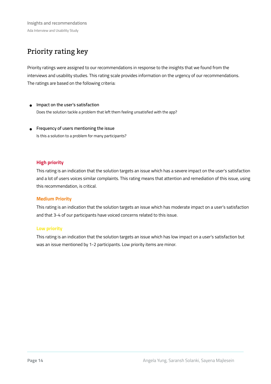## Priority rating key

Priority ratings were assigned to our recommendations in response to the insights that we found from the interviews and usability studies. This rating scale provides information on the urgency of our recommendations. The ratings are based on the following criteria:

- **Impact on the user's satisfaction** Does the solution tackle a problem that left them feeling unsatisfied with the app?
- **Frequency of users mentioning the issue** Is this a solution to a problem for many participants?

### **High priority**

This rating is an indication that the solution targets an issue which has a severe impact on the user's satisfaction and a lot of users voices similar complaints. This rating means that attention and remediation of this issue, using this recommendation, is critical.

### **Medium Priority**

This rating is an indication that the solution targets an issue which has moderate impact on a user's satisfaction and that 3-4 of our participants have voiced concerns related to this issue.

### **Low priority**

This rating is an indication that the solution targets an issue which has low impact on a user's satisfaction but was an issue mentioned by 1-2 participants. Low priority items are minor.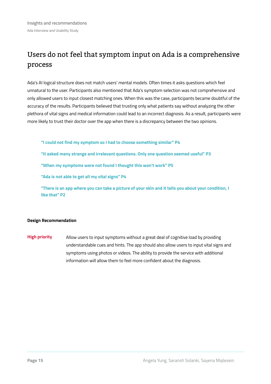## Users do not feel that symptom input on Ada is a comprehensive process

Ada's AI logical structure does not match users' mental models. Often times it asks questions which feel unnatural to the user. Participants also mentioned that Ada's symptom selection was not comprehensive and only allowed users to input closest matching ones. When this was the case, participants became doubtful of the accuracy of the results. Participants believed that trusting only what patients say without analyzing the other plethora of vital signs and medical information could lead to an incorrect diagnosis. As a result, participants were more likely to trust their doctor over the app when there is a discrepancy between the two opinions.

**"I could not find my symptom so I had to choose something similar" P4**

**"It asked many strange and irrelevant questions. Only one question seemed useful" P3**

**"When my symptoms were not found I thought this won't work" P5**

**"Ada is not able to get all my vital signs" P4**

**"There is an app where you can take a picture of your skin and it tells you about your condition, I like that" P2**

### **Design Recommendation**

Allow users to input symptoms without a great deal of cognitive load by providing understandable cues and hints. The app should also allow users to input vital signs and symptoms using photos or videos. The ability to provide the service with additional information will allow them to feel more confident about the diagnosis. **High priority**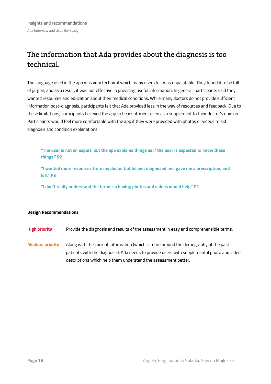## The information that Ada provides about the diagnosis is too technical.

The language used in the app was very technical which many users felt was unpalatable. They found it to be full of jargon, and as a result, it was not effective in providing useful information. In general, participants said they wanted resources and education about their medical conditions. While many doctors do not provide sufficient information post-diagnosis, participants felt that Ada provided less in the way of resources and feedback. Due to these limitations, participants believed the app to be insufficient even as a supplement to their doctor's opinion. Participants would feel more comfortable with the app if they were provided with photos or videos to aid diagnosis and condition explanations.

**"The user is not an expert, but the app explains things as if the user is expected to know these things." P2**

**"I wanted more resources from my doctor but he just diagnosed me, gave me a prescription, and left" P3**

**"I don't really understand the terms so having photos and videos would help" P2**

### **Design Recommendations**

- Provide the diagnosis and results of the assessment in easy and comprehensible terms. **High priority**
- Along with the current information (which is more around the demography of the past patients with the diagnosis), Ada needs to provide users with supplemental photo and video descriptions which help them understand the assessment better. **Medium priority**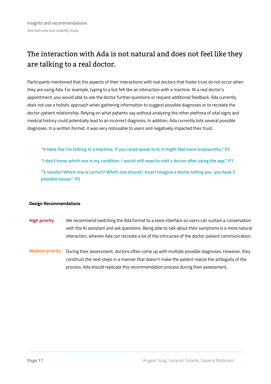## The interaction with Ada is not natural and does not feel like they are talking to a real doctor.

Participants mentioned that the aspects of their interactions with real doctors that foster trust do not occur when they are using Ada. For example, typing to a bot felt like an interaction with a machine. At a real doctor's appointment, you would able to ask the doctor further questions or request additional feedback. Ada currently does not use a holistic approach when gathering information to suggest possible diagnoses or to recreate the doctor-patient relationship. Relying on what patients say without analyzing the other plethora of vital signs and medical history could potentially lead to an incorrect diagnosis. In addition, Ada currently lists several possible diagnoses. In a written format, it was very noticeable to users and negatively impacted their trust.

- **"It feels like I'm talking to a machine. If you could speak to it, it might feel more trustworthy." P2**
- **"I don't know which one is my condition. I would still need to visit a doctor after using the app," P1**

**"3 results? Which one is correct? Which one should I trust? Imagine a doctor telling you 'you have 3 possible issues'" P5**

### **Design Recommendations**

- We recommend switching the Ada format to a voice interface so users can sustain a conversation with the AI assistant and ask questions. Being able to talk about their symptoms is a more natural interaction, wherein Ada can recreate a lot of the intricacies of the doctor-patient communication. **High priority**
- During their assessment, doctors often come up with multiple possible diagnoses. However, they construct the next steps in a manner that doesn't make the patient realize the ambiguity of the process. Ada should replicate this recommendation process during their assessment. **Medium priority**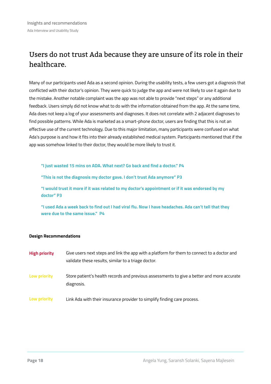## Users do not trust Ada because they are unsure of its role in their healthcare.

Many of our participants used Ada as a second opinion. During the usability tests, a few users got a diagnosis that conflicted with their doctor's opinion. They were quick to judge the app and were not likely to use it again due to the mistake. Another notable complaint was the app was not able to provide "next steps" or any additional feedback. Users simply did not know what to do with the information obtained from the app. At the same time, Ada does not keep a log of your assessments and diagnoses. It does not correlate with 2 adjacent diagnoses to find possible patterns. While Ada is marketed as a smart-phone doctor, users are finding that this is not an effective use of the current technology. Due to this major limitation, many participants were confused on what Ada's purpose is and how it fits into their already established medical system. Participants mentioned that if the app was somehow linked to their doctor, they would be more likely to trust it.

**"I just wasted 15 mins on ADA. What next? Go back and find a doctor." P4**

**"This is not the diagnosis my doctor gave. I don't trust Ada anymore" P3**

**"I would trust it more if it was related to my doctor's appointment or if it was endorsed by my doctor" P3**

**"I used Ada a week back to find out I had viral flu. Now I have headaches. Ada can't tell that they were due to the same issue." P4**

### **Design Recommendations**

| <b>High priority</b> | Give users next steps and link the app with a platform for them to connect to a doctor and               |
|----------------------|----------------------------------------------------------------------------------------------------------|
|                      | validate these results, similar to a triage doctor.                                                      |
| Low priority         | Store patient's health records and previous assessments to give a better and more accurate<br>diagnosis. |
| Low priority         | Link Ada with their insurance provider to simplify finding care process.                                 |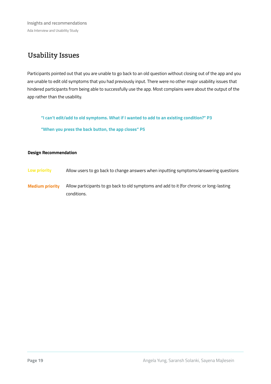**Insights and recommendations** Ada Interview and Usability Study

## Usability Issues

Participants pointed out that you are unable to go back to an old question without closing out of the app and you are unable to edit old symptoms that you had previously input. There were no other major usability issues that hindered participants from being able to successfully use the app. Most complains were about the output of the app rather than the usability.

**"I can't edit/add to old symptoms. What if I wanted to add to an existing condition?" P3**

**"When you press the back button, the app closes" P5**

### **Design Recommendation**

- **Low priority** Allow users to go back to change answers when inputting symptoms/answering questions
- **Medium priority** Allow participants to go back to old symptoms and add to it (for chronic or long-lasting conditions.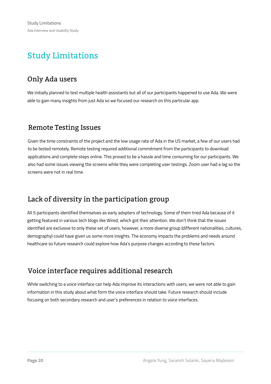# Study Limitations

## Only Ada users

We initially planned to test multiple health assistants but all of our participants happened to use Ada. We were able to gain many insights from just Ada so we focused our research on this particular app.

## Remote Testing Issues

Given the time constraints of the project and the low usage rate of Ada in the US market, a few of our users had to be tested remotely. Remote testing required additional commitment from the participants to download applications and complete steps online. This proved to be a hassle and time consuming for our participants. We also had some issues viewing the screens while they were completing user testings. Zoom user had a lag so the screens were not in real time.

## Lack of diversity in the participation group

All 5 participants identified themselves as early adopters of technology. Some of them tried Ada because of it getting featured in various tech blogs like Wired, which got their attention. We don't think that the issues identified are exclusive to only these set of users, however, a more diverse group (different nationalities, cultures, demography) could have given us some more insights. The economy impacts the problems and needs around healthcare so future research could explore how Ada's purpose changes according to these factors.

## Voice interface requires additional research

While switching to a voice interface can help Ada improve its interactions with users, we were not able to gain information in this study about what form the voice interface should take. Future research should include focusing on both secondary research and user's preferences in relation to voice interfaces.